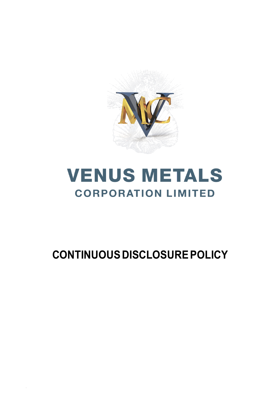

# **VENUS METALS CORPORATION LIMITED**

## **CONTINUOUS DISCLOSUREPOLICY**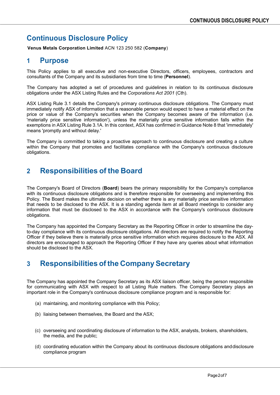## **Continuous Disclosure Policy**

**Venus Metals Corporation Limited** ACN 123 250 582 (**Company**)

### **1 Purpose**

This Policy applies to all executive and non-executive Directors, officers, employees, contractors and consultants of the Company and its subsidiaries from time to time (**Personnel**).

The Company has adopted a set of procedures and guidelines in relation to its continuous disclosure obligations under the ASX Listing Rules and the *Corporations Act 2001* (Cth).

ASX Listing Rule 3.1 details the Company's primary continuous disclosure obligations. The Company must immediately notify ASX of information that a reasonable person would expect to have a material effect on the price or value of the Company's securities when the Company becomes aware of the information (i.e. 'materially price sensitive information'), unless the materially price sensitive information falls within the exemptions in ASX Listing Rule 3.1A. In this context, ASX has confirmed in Guidance Note 8 that 'immediately' means 'promptly and without delay.'

The Company is committed to taking a proactive approach to continuous disclosure and creating a culture within the Company that promotes and facilitates compliance with the Company's continuous disclosure obligations.

## **2 Responsibilities of the Board**

The Company's Board of Directors (**Board**) bears the primary responsibility for the Company's compliance with its continuous disclosure obligations and is therefore responsible for overseeing and implementing this Policy. The Board makes the ultimate decision on whether there is any materially price sensitive information that needs to be disclosed to the ASX. It is a standing agenda item at all Board meetings to consider any information that must be disclosed to the ASX in accordance with the Company's continuous disclosure obligations.

The Company has appointed the Company Secretary as the Reporting Officer in order to streamline the dayto-day compliance with its continuous disclosure obligations. All directors are required to notify the Reporting Officer if they believe there is materially price sensitive information which requires disclosure to the ASX. All directors are encouraged to approach the Reporting Officer if they have any queries about what information should be disclosed to the ASX.

## **3 Responsibilities of the Company Secretary**

The Company has appointed the Company Secretary as its ASX liaison officer, being the person responsible for communicating with ASX with respect to all Listing Rule matters. The Company Secretary plays an important role in the Company's continuous disclosure compliance program and is responsible for:

- (a) maintaining, and monitoring compliance with this Policy;
- (b) liaising between themselves, the Board and the ASX;
- (c) overseeing and coordinating disclosure of information to the ASX, analysts, brokers, shareholders, the media, and the public;
- (d) coordinating education within the Company about its continuous disclosure obligations anddisclosure compliance program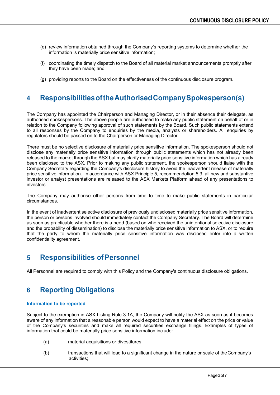- (e) review information obtained through the Company's reporting systems to determine whether the information is materially price sensitive information;
- (f) coordinating the timely dispatch to the Board of all material market announcements promptly after they have been made; and
- (g) providing reports to the Board on the effectiveness of the continuous disclosure program.

## **4 ResponsibilitiesoftheAuthorisedCompanySpokesperson(s)**

The Company has appointed the Chairperson and Managing Director, or in their absence their delegate, as authorised spokespersons. The above people are authorised to make any public statement on behalf of or in relation to the Company following approval of such statements by the Board. Such public statements extend to all responses by the Company to enquiries by the media, analysts or shareholders. All enquiries by regulators should be passed on to the Chairperson or Managing Director.

There must be no selective disclosure of materially price sensitive information. The spokesperson should not disclose any materially price sensitive information through public statements which has not already been released to the market through the ASX but may clarify materially price sensitive information which has already been disclosed to the ASX. Prior to making any public statement, the spokesperson should liaise with the Company Secretary regarding the Company's disclosure history to avoid the inadvertent release of materially price sensitive information. In accordance with ASX Principle 5, recommendation 5.3, all new and substantive investor or analyst presentations are released to the ASX Markets Platform ahead of any presentations to investors.

The Company may authorise other persons from time to time to make public statements in particular circumstances.

In the event of inadvertent selective disclosure of previously undisclosed materially price sensitive information, the person or persons involved should immediately contact the Company Secretary. The Board will determine as soon as practicable whether there is a need (based on who received the unintentional selective disclosure and the probability of dissemination) to disclose the materially price sensitive information to ASX, or to require that the party to whom the materially price sensitive information was disclosed enter into a written confidentiality agreement.

## **5** Responsibilities of Personnel

All Personnel are required to comply with this Policy and the Company's continuous disclosure obligations.

## **6 Reporting Obligations**

#### **Information to be reported**

Subject to the exemption in ASX Listing Rule 3.1A, the Company will notify the ASX as soon as it becomes aware of any information that a reasonable person would expect to have a material effect on the price or value of the Company's securities and make all required securities exchange filings. Examples of types of information that could be materially price sensitive information include:

- (a) material acquisitions or divestitures;
- (b) transactions that will lead to a significant change in the nature or scale of theCompany's activities;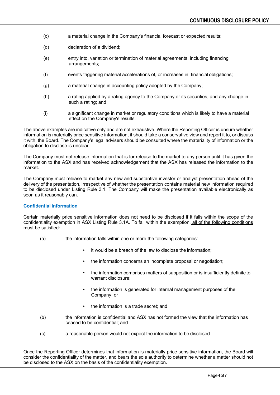- (c) a material change in the Company's financial forecast or expected results;
- (d) declaration of a dividend;
- (e) entry into, variation or termination of material agreements, including financing arrangements;
- (f) events triggering material accelerations of, or increases in, financial obligations;
- (g) a material change in accounting policy adopted by the Company;
- (h) a rating applied by a rating agency to the Company or its securities, and any change in such a rating; and
- (i) a significant change in market or regulatory conditions which is likely to have a material effect on the Company's results.

The above examples are indicative only and are not exhaustive. Where the Reporting Officer is unsure whether information is materially price sensitive information, it should take a conservative view and report it to, or discuss it with, the Board. The Company's legal advisers should be consulted where the materiality of information or the obligation to disclose is unclear.

The Company must not release information that is for release to the market to any person until it has given the information to the ASX and has received acknowledgement that the ASX has released the information to the market.

The Company must release to market any new and substantive investor or analyst presentation ahead of the delivery of the presentation, irrespective of whether the presentation contains material new information required to be disclosed under Listing Rule 3.1. The Company will make the presentation available electronically as soon as it reasonably can.

#### **Confidential information**

Certain materially price sensitive information does not need to be disclosed if it falls within the scope of the confidentiality exemption in ASX Listing Rule 3.1A. To fall within the exemption, all of the following conditions must be satisfied:

- (a) the information falls within one or more the following categories:
	- it would be a breach of the law to disclose the information:
	- the information concerns an incomplete proposal or negotiation;
	- the information comprises matters of supposition or is insufficiently definite to warrant disclosure;
	- the information is generated for internal management purposes of the Company; or
	- the information is a trade secret; and
- (b) the information is confidential and ASX has not formed the view that the information has ceased to be confidential; and
- (c) a reasonable person would not expect the information to be disclosed.

Once the Reporting Officer determines that information is materially price sensitive information, the Board will consider the confidentiality of the matter, and bears the sole authority to determine whether a matter should not be disclosed to the ASX on the basis of the confidentiality exemption.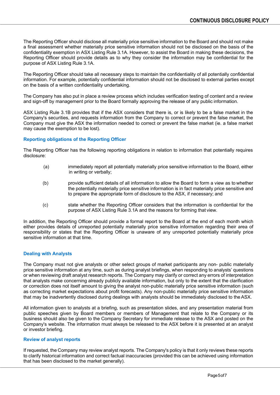The Reporting Officer should disclose all materially price sensitive information to the Board and should not make a final assessment whether materially price sensitive information should not be disclosed on the basis of the confidentiality exemption in ASX Listing Rule 3.1A. However, to assist the Board in making these decisions, the Reporting Officer should provide details as to why they consider the information may be confidential for the purpose of ASX Listing Rule 3.1A.

The Reporting Officer should take all necessary steps to maintain the confidentiality of all potentially confidential information. For example, potentially confidential information should not be disclosed to external parties except on the basis of a written confidentiality undertaking.

The Company has also put in place a review process which includes verification testing of content and a review and sign-off by management prior to the Board formally approving the release of any public information.

ASX Listing Rule 3.1B provides that if the ASX considers that there is, or is likely to be a false market in the Company's securities, and requests information from the Company to correct or prevent the false market, the Company must give the ASX the information needed to correct or prevent the false market (ie. a false market may cause the exemption to be lost).

#### **Reporting obligations of the Reporting Officer**

The Reporting Officer has the following reporting obligations in relation to information that potentially requires disclosure:

- (a) immediately report all potentially materially price sensitive information to the Board, either in writing or verbally;
- (b) provide sufficient details of all information to allow the Board to form a view as to whether the potentially materially price sensitive information is in fact materially price sensitive and to prepare the appropriate form of disclosure to the ASX, if necessary; and
- (c) state whether the Reporting Officer considers that the information is confidential for the purpose of ASX Listing Rule 3.1A and the reasons for forming that view.

In addition, the Reporting Officer should provide a formal report to the Board at the end of each month which either provides details of unreported potentially materially price sensitive information regarding their area of responsibility or states that the Reporting Officer is unaware of any unreported potentially materially price sensitive information at that time.

#### **Dealing with Analysts**

The Company must not give analysts or other select groups of market participants any non- public materially price sensitive information at any time, such as during analyst briefings, when responding to analysts' questions or when reviewing draft analyst research reports. The Company may clarify or correct any errors of interpretation that analysts make concerning already publicly available information, but only to the extent that the clarification or correction does not itself amount to giving the analyst non-public materially price sensitive information (such as correcting market expectations about profit forecasts). Any non-public materially price sensitive information that may be inadvertently disclosed during dealings with analysts should be immediately disclosed to theASX.

All information given to analysts at a briefing, such as presentation slides, and any presentation material from public speeches given by Board members or members of Management that relate to the Company or its business should also be given to the Company Secretary for immediate release to the ASX and posted on the Company's website. The information must always be released to the ASX before it is presented at an analyst or investor briefing.

#### **Review of analyst reports**

If requested, the Company may review analyst reports. The Company's policy is that it only reviews these reports to clarify historical information and correct factual inaccuracies (provided this can be achieved using information that has been disclosed to the market generally).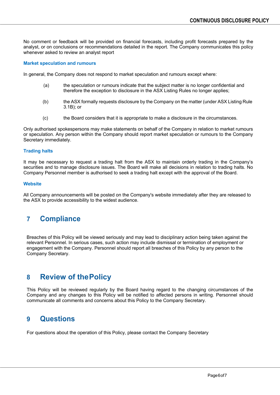No comment or feedback will be provided on financial forecasts, including profit forecasts prepared by the analyst, or on conclusions or recommendations detailed in the report. The Company communicates this policy whenever asked to review an analyst report

#### **Market speculation and rumours**

In general, the Company does not respond to market speculation and rumours except where:

- (a) the speculation or rumours indicate that the subject matter is no longer confidential and therefore the exception to disclosure in the ASX Listing Rules no longer applies;
- (b) the ASX formally requests disclosure by the Company on the matter (under ASX Listing Rule 3.1B); or
- (c) the Board considers that it is appropriate to make a disclosure in the circumstances.

Only authorised spokespersons may make statements on behalf of the Company in relation to market rumours or speculation. Any person within the Company should report market speculation or rumours to the Company Secretary immediately.

#### **Trading halts**

It may be necessary to request a trading halt from the ASX to maintain orderly trading in the Company's securities and to manage disclosure issues. The Board will make all decisions in relation to trading halts. No Company Personnel member is authorised to seek a trading halt except with the approval of the Board.

#### **Website**

All Company announcements will be posted on the Company's website immediately after they are released to the ASX to provide accessibility to the widest audience.

## **7 Compliance**

Breaches of this Policy will be viewed seriously and may lead to disciplinary action being taken against the relevant Personnel. In serious cases, such action may include dismissal or termination of employment or engagement with the Company. Personnel should report all breaches of this Policy by any person to the Company Secretary**.**

## **8 Review of thePolicy**

This Policy will be reviewed regularly by the Board having regard to the changing circumstances of the Company and any changes to this Policy will be notified to affected persons in writing. Personnel should communicate all comments and concerns about this Policy to the Company Secretary.

## **9 Questions**

For questions about the operation of this Policy, please contact the Company Secretary